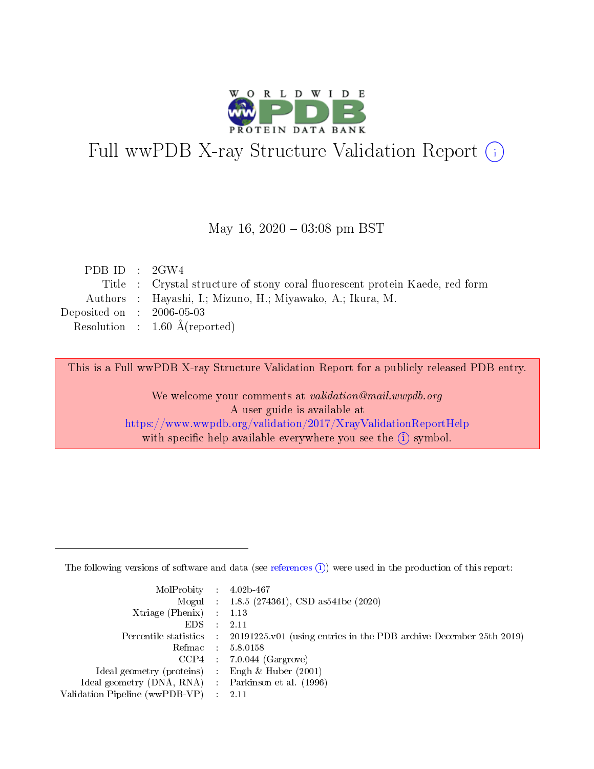

# Full wwPDB X-ray Structure Validation Report (i)

#### May 16,  $2020 - 03:08$  pm BST

| PDB ID : $2GW4$                          |                                                                              |
|------------------------------------------|------------------------------------------------------------------------------|
|                                          | Title : Crystal structure of stony coral fluorescent protein Kaede, red form |
|                                          | Authors : Hayashi, I.; Mizuno, H.; Miyawako, A.; Ikura, M.                   |
| Deposited on : $2006-05-03$              |                                                                              |
| Resolution : $1.60 \text{ Å}$ (reported) |                                                                              |
|                                          |                                                                              |

This is a Full wwPDB X-ray Structure Validation Report for a publicly released PDB entry.

We welcome your comments at validation@mail.wwpdb.org A user guide is available at <https://www.wwpdb.org/validation/2017/XrayValidationReportHelp> with specific help available everywhere you see the  $(i)$  symbol.

The following versions of software and data (see [references](https://www.wwpdb.org/validation/2017/XrayValidationReportHelp#references)  $(1)$ ) were used in the production of this report:

| $MolProbability$ : 4.02b-467                        |                                                                                            |
|-----------------------------------------------------|--------------------------------------------------------------------------------------------|
|                                                     | Mogul : $1.8.5$ (274361), CSD as 541be (2020)                                              |
| Xtriage (Phenix) $: 1.13$                           |                                                                                            |
| EDS                                                 | -2.11                                                                                      |
|                                                     | Percentile statistics : 20191225.v01 (using entries in the PDB archive December 25th 2019) |
| Refmac 58.0158                                      |                                                                                            |
|                                                     | $CCP4$ 7.0.044 (Gargrove)                                                                  |
| Ideal geometry (proteins) : Engh $\&$ Huber (2001)  |                                                                                            |
| Ideal geometry (DNA, RNA) : Parkinson et al. (1996) |                                                                                            |
| Validation Pipeline (wwPDB-VP) : 2.11               |                                                                                            |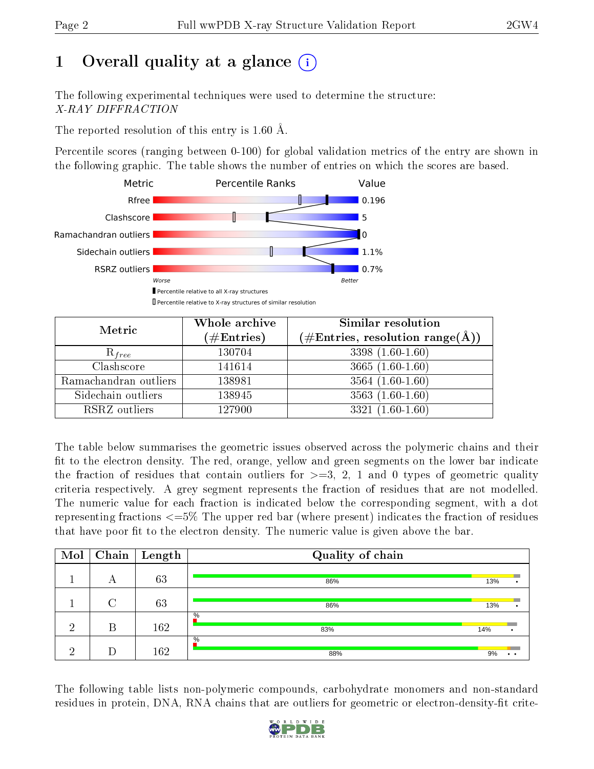# 1 [O](https://www.wwpdb.org/validation/2017/XrayValidationReportHelp#overall_quality)verall quality at a glance  $(i)$

The following experimental techniques were used to determine the structure: X-RAY DIFFRACTION

The reported resolution of this entry is 1.60 Å.

Percentile scores (ranging between 0-100) for global validation metrics of the entry are shown in the following graphic. The table shows the number of entries on which the scores are based.



| Metric                | Whole archive<br>$(\#\text{Entries})$ | Similar resolution<br>$(\#\text{Entries}, \text{resolution range}(\text{\AA}))$ |
|-----------------------|---------------------------------------|---------------------------------------------------------------------------------|
| $R_{free}$            | 130704                                | $3398(1.60-1.60)$                                                               |
| Clashscore            | 141614                                | $3665(1.60-1.60)$                                                               |
| Ramachandran outliers | 138981                                | $3564(1.60-1.60)$                                                               |
| Sidechain outliers    | 138945                                | $3563(1.60-1.60)$                                                               |
| RSRZ outliers         | 127900                                | $3321(1.60-1.60)$                                                               |

The table below summarises the geometric issues observed across the polymeric chains and their fit to the electron density. The red, orange, yellow and green segments on the lower bar indicate the fraction of residues that contain outliers for  $>=3, 2, 1$  and 0 types of geometric quality criteria respectively. A grey segment represents the fraction of residues that are not modelled. The numeric value for each fraction is indicated below the corresponding segment, with a dot representing fractions <=5% The upper red bar (where present) indicates the fraction of residues that have poor fit to the electron density. The numeric value is given above the bar.

| Mol | Chain | $\mid$ Length | Quality of chain |     |  |
|-----|-------|---------------|------------------|-----|--|
|     | А     | 63            | 86%              | 13% |  |
|     |       | 63            | 86%              | 13% |  |
| ച   | В     | 162           | $\%$<br>83%      | 14% |  |
| ച   | D     | 162           | $\%$<br>88%      | 9%  |  |

The following table lists non-polymeric compounds, carbohydrate monomers and non-standard residues in protein, DNA, RNA chains that are outliers for geometric or electron-density-fit crite-

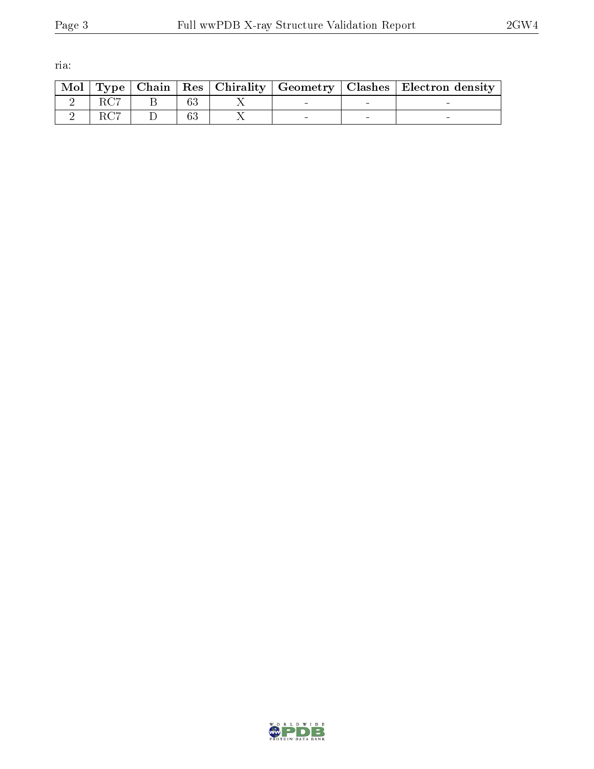ria:

|  |  |  | Mol   Type   Chain   Res   Chirality   Geometry   Clashes   Electron density |
|--|--|--|------------------------------------------------------------------------------|
|  |  |  |                                                                              |
|  |  |  |                                                                              |

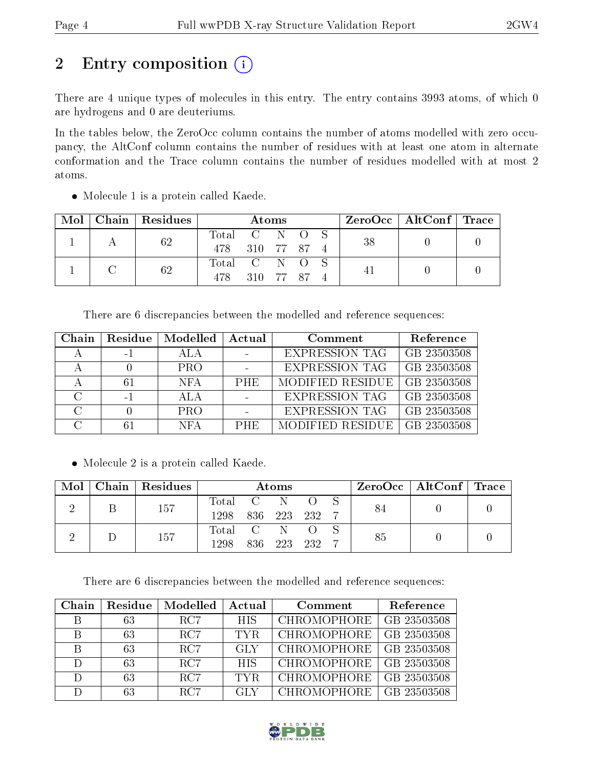# 2 Entry composition (i)

There are 4 unique types of molecules in this entry. The entry contains 3993 atoms, of which 0 are hydrogens and 0 are deuteriums.

In the tables below, the ZeroOcc column contains the number of atoms modelled with zero occupancy, the AltConf column contains the number of residues with at least one atom in alternate conformation and the Trace column contains the number of residues modelled with at most 2 atoms.

| Mol | $\mid$ Chain $\mid$ Residues $\mid$ | <b>Atoms</b>  |           |  |  |    | ZeroOcc   AltConf   Trace |  |
|-----|-------------------------------------|---------------|-----------|--|--|----|---------------------------|--|
|     | 62                                  | Total C N O S |           |  |  | 38 |                           |  |
|     |                                     | 478 310 77 87 |           |  |  |    |                           |  |
|     | 62                                  | Total C N O   |           |  |  |    |                           |  |
|     |                                     | 478           | 310 77 87 |  |  |    |                           |  |

• Molecule 1 is a protein called Kaede.

There are 6 discrepancies between the modelled and reference sequences:

| Chain | Residue | Modelled   | Actual     | Comment               | Reference   |
|-------|---------|------------|------------|-----------------------|-------------|
|       | $-1$    |            |            | <b>EXPRESSION TAG</b> | GB 23503508 |
|       |         | <b>PRO</b> |            | <b>EXPRESSION TAG</b> | GB 23503508 |
|       | 61      | <b>NFA</b> | <b>PHE</b> | MODIFIED RESIDUE      | GB 23503508 |
|       | $-1$    | ALA        |            | <b>EXPRESSION TAG</b> | GB 23503508 |
|       |         | <b>PRO</b> |            | <b>EXPRESSION TAG</b> | GB 23503508 |
|       | 61      | <b>NFA</b> | <b>PHE</b> | MODIFIED RESIDUE      | GB 23503508 |

• Molecule 2 is a protein called Kaede.

| $\bf{Mol}$ $\parallel$ | Chain   Residues | Atoms            |  |         |       |  | ZeroOcc   AltConf   Trace |  |
|------------------------|------------------|------------------|--|---------|-------|--|---------------------------|--|
|                        | 157              | Total C N        |  |         |       |  |                           |  |
|                        |                  | 1298 836 223 232 |  |         |       |  |                           |  |
|                        | 157              | Total C          |  |         |       |  |                           |  |
|                        |                  | 1298             |  | 836 223 | - 232 |  |                           |  |

There are 6 discrepancies between the modelled and reference sequences:

| Chain | Residue | Modelled        | Actual     | Comment            | Reference   |
|-------|---------|-----------------|------------|--------------------|-------------|
| B     | 63      | RC7             | <b>HIS</b> | <b>CHROMOPHORE</b> | GB 23503508 |
| В     | 63      | BC7             | TYR.       | CHROMOPHORE        | GB 23503508 |
| В     | 63      | RC <sub>7</sub> | -GLY       | CHROMOPHORE        | GB 23503508 |
| D     | 63      | BC7             | <b>HIS</b> | CHROMOPHORE        | GB 23503508 |
| D     | 63      | RC7             | TYR.       | CHROMOPHORE        | GB 23503508 |
| D     | 63      | RC7             | GLY        | CHROMOPHORE        | GB 23503508 |

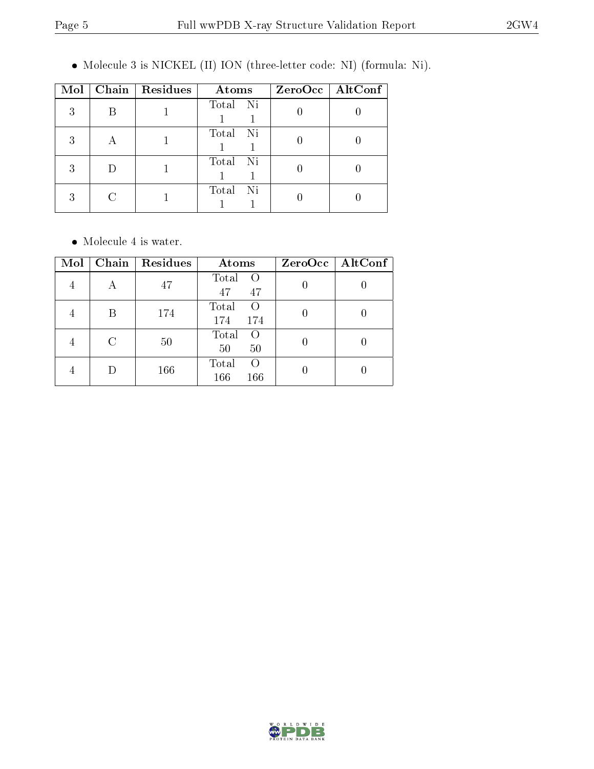Molecule 3 is NICKEL (II) ION (three-letter code: NI) (formula: Ni).

| Mol | Chain   Residues | Atoms        | $ZeroOcc$   AltConf |
|-----|------------------|--------------|---------------------|
| 3   |                  | Total Ni     |                     |
| 3   |                  | Total Ni     |                     |
| 3   |                  | Total Ni     |                     |
| 3   |                  | Total<br>-Ni |                     |

• Molecule 4 is water.

| Mol | Chain | Residues | Atoms                           | ZeroOcc   AltConf |
|-----|-------|----------|---------------------------------|-------------------|
|     | А     | 47       | Total<br>$\circ$ O<br>47<br>47  |                   |
|     | В     | 174      | Total<br>$\left($<br>174<br>174 |                   |
|     | C     | 50       | Total<br>$\left($<br>50<br>50   |                   |
|     |       | 166      | Total<br>$\left($<br>166<br>166 |                   |

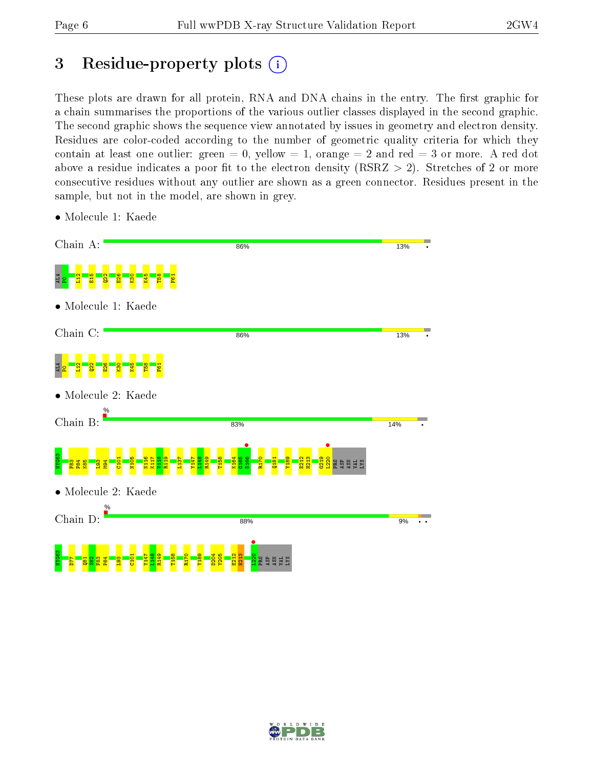# 3 Residue-property plots  $(i)$

These plots are drawn for all protein, RNA and DNA chains in the entry. The first graphic for a chain summarises the proportions of the various outlier classes displayed in the second graphic. The second graphic shows the sequence view annotated by issues in geometry and electron density. Residues are color-coded according to the number of geometric quality criteria for which they contain at least one outlier: green  $= 0$ , yellow  $= 1$ , orange  $= 2$  and red  $= 3$  or more. A red dot above a residue indicates a poor fit to the electron density (RSRZ  $> 2$ ). Stretches of 2 or more consecutive residues without any outlier are shown as a green connector. Residues present in the sample, but not in the model, are shown in grey.



• Molecule 1: Kaede

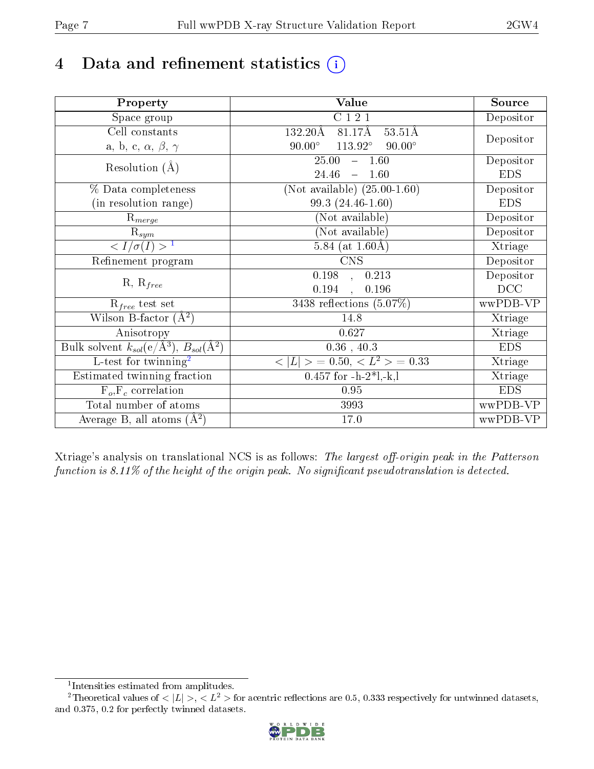# 4 Data and refinement statistics  $(i)$

| Property                                                             | Value                                                    | Source     |
|----------------------------------------------------------------------|----------------------------------------------------------|------------|
| Space group                                                          | C121                                                     | Depositor  |
| Cell constants                                                       | 81.17Å<br>132.20Å<br>$53.51\text{\AA}$                   |            |
| a, b, c, $\alpha$ , $\beta$ , $\gamma$                               | $90.00^\circ$<br>$113.92^\circ$<br>$90.00^\circ$         | Depositor  |
| Resolution $(A)$                                                     | 25.00<br>$-1.60$                                         | Depositor  |
|                                                                      | 24.46<br>1.60<br>$\equiv$                                | <b>EDS</b> |
| % Data completeness                                                  | (Not available) $(25.00-1.60)$                           | Depositor  |
| (in resolution range)                                                | 99.3 (24.46-1.60)                                        | <b>EDS</b> |
| $R_{merge}$                                                          | (Not available)                                          | Depositor  |
| $\mathrm{R}_{sym}$                                                   | (Not available)                                          | Depositor  |
| $\langle I/\sigma(I) \rangle$ <sup>1</sup>                           | 5.84 (at $1.60\text{\AA})$                               | Xtriage    |
| Refinement program                                                   | $\overline{\text{CNS}}$                                  | Depositor  |
|                                                                      | 0.198<br>0.213<br>$\tilde{a}$ ,                          | Depositor  |
| $R, R_{free}$                                                        | 0.194<br>0.196<br>$\ddot{\phantom{0}}$                   | DCC        |
| $R_{free}$ test set                                                  | $3438$ reflections $(5.07\%)$                            | wwPDB-VP   |
| Wilson B-factor $(A^2)$                                              | 14.8                                                     | Xtriage    |
| Anisotropy                                                           | 0.627                                                    | Xtriage    |
| Bulk solvent $k_{sol}(e/\mathring{A}^3)$ , $B_{sol}(\mathring{A}^2)$ | $0.36$ , $40.3$                                          | <b>EDS</b> |
| L-test for twinning <sup>2</sup>                                     | $\langle  L  \rangle = 0.50, \langle L^2 \rangle = 0.33$ | Xtriage    |
| Estimated twinning fraction                                          | $0.457$ for $-h-2*1,-k,l$                                | Xtriage    |
| $F_o, F_c$ correlation                                               | 0.95                                                     | <b>EDS</b> |
| Total number of atoms                                                | 3993                                                     | wwPDB-VP   |
| Average B, all atoms $(A^2)$                                         | 17.0                                                     | wwPDB-VP   |

Xtriage's analysis on translational NCS is as follows: The largest off-origin peak in the Patterson function is  $8.11\%$  of the height of the origin peak. No significant pseudotranslation is detected.

<sup>&</sup>lt;sup>2</sup>Theoretical values of  $\langle |L| \rangle$ ,  $\langle L^2 \rangle$  for acentric reflections are 0.5, 0.333 respectively for untwinned datasets, and 0.375, 0.2 for perfectly twinned datasets.



<span id="page-6-1"></span><span id="page-6-0"></span><sup>1</sup> Intensities estimated from amplitudes.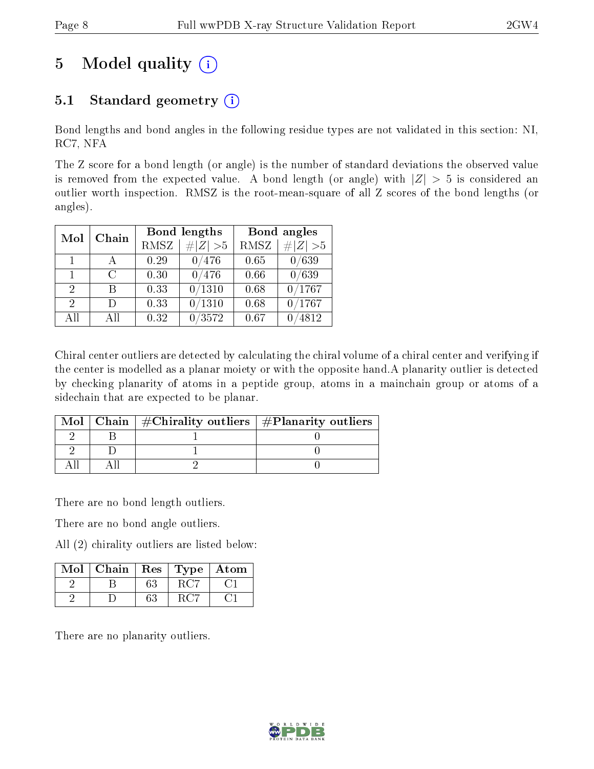# 5 Model quality  $(i)$

## 5.1 Standard geometry  $(i)$

Bond lengths and bond angles in the following residue types are not validated in this section: NI, RC7, NFA

The Z score for a bond length (or angle) is the number of standard deviations the observed value is removed from the expected value. A bond length (or angle) with  $|Z| > 5$  is considered an outlier worth inspection. RMSZ is the root-mean-square of all Z scores of the bond lengths (or angles).

| Mol                         | Chain         | Bond lengths |             | Bond angles |             |
|-----------------------------|---------------|--------------|-------------|-------------|-------------|
|                             |               | RMSZ         | $\# Z  > 5$ | <b>RMSZ</b> | # $ Z  > 5$ |
| $\mathbf{1}$                |               | 0.29         | 0/476       | 0.65        | 0/639       |
| $\mathbf{1}$                | $\mathcal{C}$ | 0.30         | 0/476       | 0.66        | 0/639       |
| 2                           | В             | 0.33         | 0/1310      | 0.68        | 0/1767      |
| $\mathcal{D}_{\mathcal{A}}$ | Ð             | 0.33         | /1310       | 0.68        | /1767       |
| AII                         | A 11          | 0.32         | /3572       | 0.67        | 4812        |

Chiral center outliers are detected by calculating the chiral volume of a chiral center and verifying if the center is modelled as a planar moiety or with the opposite hand.A planarity outlier is detected by checking planarity of atoms in a peptide group, atoms in a mainchain group or atoms of a sidechain that are expected to be planar.

|  | Mol   Chain   $\#\text{Chirality outliers}$   $\#\text{Planarity outliers}$ |
|--|-----------------------------------------------------------------------------|
|  |                                                                             |
|  |                                                                             |
|  |                                                                             |

There are no bond length outliers.

There are no bond angle outliers.

All (2) chirality outliers are listed below:

| Mol | Chain | $\mid$ Res | Type | Atom |
|-----|-------|------------|------|------|
|     |       | 63         |      |      |
|     |       | $63\,$     |      |      |

There are no planarity outliers.

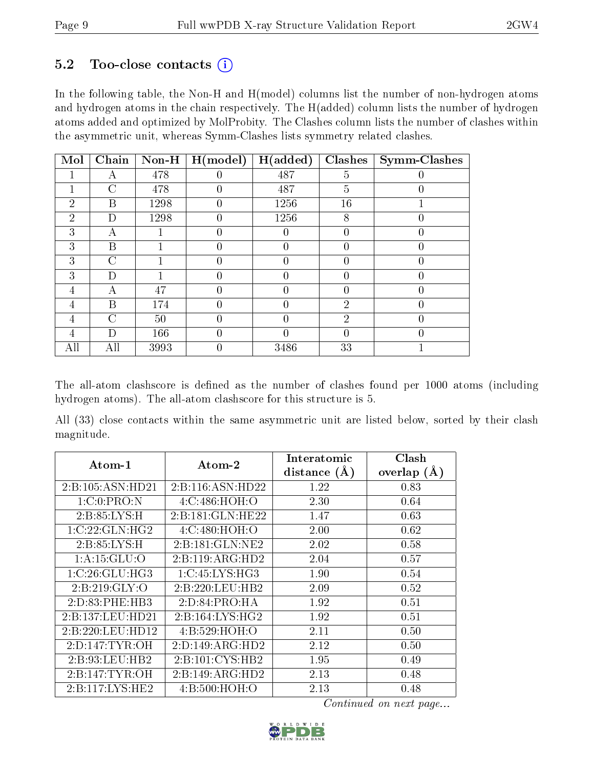#### $5.2$  Too-close contacts  $(i)$

In the following table, the Non-H and H(model) columns list the number of non-hydrogen atoms and hydrogen atoms in the chain respectively. The H(added) column lists the number of hydrogen atoms added and optimized by MolProbity. The Clashes column lists the number of clashes within the asymmetric unit, whereas Symm-Clashes lists symmetry related clashes.

| Mol            | Chain         | $Non-H$ | H (model)        | H(added) | Clashes          | <b>Symm-Clashes</b> |
|----------------|---------------|---------|------------------|----------|------------------|---------------------|
|                | А             | 478     |                  | 487      | 5                |                     |
|                | C             | 478     | O                | 487      | $\overline{5}$   |                     |
| $\overline{2}$ | B             | 1298    | 0                | 1256     | 16               |                     |
| 2              | D             | 1298    |                  | 1256     | 8                | $\left( \right)$    |
| 3              | А             |         | 0                |          | 0                |                     |
| 3              | B             |         | $\left( \right)$ | 0        | $\left( \right)$ | $\theta$            |
| 3              | С             |         |                  | 0        |                  |                     |
| 3              | D             |         |                  |          |                  |                     |
| 4              | А             | 47      | 0                | 0        | 0                | 0                   |
| 4              | B             | 174     | 0                | $\Omega$ | $\overline{2}$   | $\theta$            |
| 4              | $\mathcal{C}$ | 50      |                  | 0        | $\overline{2}$   |                     |
| 4              | D             | 166     | 0                | O        | 0                | 0                   |
| All            | All           | 3993    |                  | 3486     | 33               |                     |

The all-atom clashscore is defined as the number of clashes found per 1000 atoms (including hydrogen atoms). The all-atom clashscore for this structure is 5.

All (33) close contacts within the same asymmetric unit are listed below, sorted by their clash magnitude.

| Atom-1             | Atom-2                  | Interatomic    | Clash          |
|--------------------|-------------------------|----------------|----------------|
|                    |                         | distance $(A)$ | overlap<br>(A) |
| 2:B:105:ASN:HD21   | 2:B:116:ASN:HD22        | 1.22           | 0.83           |
| 1:C:0:PRO:N        | $4:$ C: $486:$ HOH: $O$ | 2.30           | 0.64           |
| 2: B:85: LYS:H     | 2:B:181:GLN:HE22        | 1.47           | 0.63           |
| 1:C:22:GLN:HG2     | 4: C:480:HOH:O          | 2.00           | 0.62           |
| 2: B:85: LYS:H     | 2: B: 181: GLN: NE2     | 2.02           | 0.58           |
| 1: A:15: GLU:O     | 2:B:119:ARG:HD2         | 2.04           | 0.57           |
| 1:C:26:GLU:HG3     | 1:C:45:LYS:HG3          | 1.90           | 0.54           |
| 2: B:219: GLY:O    | 2:B:220:LEU:HB2         | 2.09           | 0.52           |
| 2: D: 83: PHE: HB3 | 2:D:84:PRO:HA           | 1.92           | 0.51           |
| 2:B:137:LEU:HD21   | 2:B:164:LYS:HG2         | 1.92           | 0.51           |
| 2:B:220:LEU:HD12   | 4: B:529: HOH:O         | 2.11           | 0.50           |
| 2: D: 147: TYR: OH | 2:D:149:ARG:HD2         | 2.12           | 0.50           |
| 2:B:93:LEU:HB2     | 2:B:101:CYS:HB2         | 1.95           | 0.49           |
| 2: B:147: TYR: OH  | 2:B:149:ARG:HD2         | 2.13           | 0.48           |
| 2:Bi:117:LYS:HE2   | 4: B:500:HOH:O          | 2.13           | 0.48           |

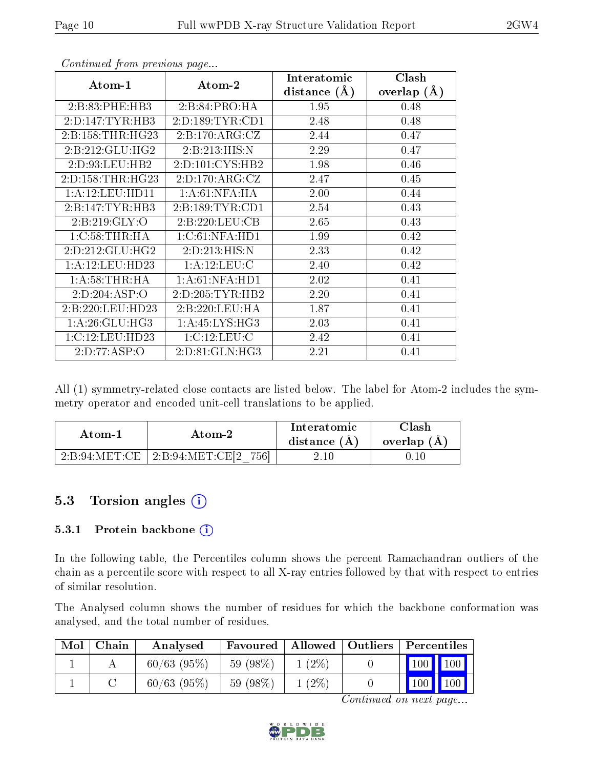| Atom-1               | Atom-2              | Interatomic    | Clash           |
|----------------------|---------------------|----------------|-----------------|
|                      |                     | distance $(A)$ | overlap $(\AA)$ |
| 2:B:83:PHE:HB3       | 2: B:84: PRO:HA     | 1.95           | 0.48            |
| 2:D:147:TYR:HB3      | 2: D: 189: TYR: CD1 | 2.48           | 0.48            |
| 2: B: 158: THR: HG23 | 2: B: 170: ARG: CZ  | 2.44           | 0.47            |
| 2:B:212:GLU:HG2      | 2:B:213:HIS:N       | 2.29           | 0.47            |
| 2:D:93:LEU:HB2       | 2:D:101:CYS:HB2     | 1.98           | 0.46            |
| 2:D:158:THR:HG23     | 2:D:170:ARG:CZ      | 2.47           | 0.45            |
| 1:A:12:LEU:HD11      | 1: A:61: NFA: HA    | 2.00           | 0.44            |
| 2:B:147:TYR:HB3      | 2: B: 189: TYR: CD1 | 2.54           | 0.43            |
| 2: B:219: GLY:O      | 2:B:220:LEU:CB      | 2.65           | 0.43            |
| 1:C:58:THR:HA        | 1:C:61:NFA:HD1      | 1.99           | 0.42            |
| 2:D:212:GLU:HG2      | 2:D:213:HIS:N       | 2.33           | 0.42            |
| 1:A:12:LEU:HD23      | 1: A:12: LEU: C     | 2.40           | 0.42            |
| 1: A:58:THR:HA       | 1: A:61: NFA: HD1   | 2.02           | 0.41            |
| 2:D:204:ASP:O        | 2:D:205:TYR:HB2     | 2.20           | 0.41            |
| 2:B:220:LEU:HD23     | 2:B:220:LEU:HA      | 1.87           | 0.41            |
| 1: A:26: GLU:HG3     | 1:A:45:LYS:HG3      | 2.03           | 0.41            |
| 1:C:12:LEU:HD23      | 1:C:12:LEU:C        | 2.42           | 0.41            |
| 2:D:77:ASP:O         | 2:D:81:GLN:HG3      | 2.21           | 0.41            |

Continued from previous page...

All (1) symmetry-related close contacts are listed below. The label for Atom-2 includes the symmetry operator and encoded unit-cell translations to be applied.

| Atom-1                              | Atom-2                            | Interatomic<br>distance $(A)$ | $\cap$ lash<br>overlap $(A)$ |
|-------------------------------------|-----------------------------------|-------------------------------|------------------------------|
| $^{\circ}$ 2:B:94:MET:CE $^{\circ}$ | 7561<br>$^+$ 2:B:94:MET:CE[2 $\,$ | 2.10                          |                              |

### 5.3 Torsion angles (i)

#### 5.3.1 Protein backbone  $(i)$

In the following table, the Percentiles column shows the percent Ramachandran outliers of the chain as a percentile score with respect to all X-ray entries followed by that with respect to entries of similar resolution.

The Analysed column shows the number of residues for which the backbone conformation was analysed, and the total number of residues.

| Mol | Chain | Analysed      | Favoured   Allowed   Outliers   Percentiles |          |  |                                 |
|-----|-------|---------------|---------------------------------------------|----------|--|---------------------------------|
|     |       | $60/63$ (95%) | 59 (98\%)                                   | $1(2\%)$ |  | $\vert$ 100 $\vert$ 100 $\vert$ |
|     |       | $60/63$ (95%) | $59(98\%)$                                  | $1(2\%)$ |  | $100$ 100                       |

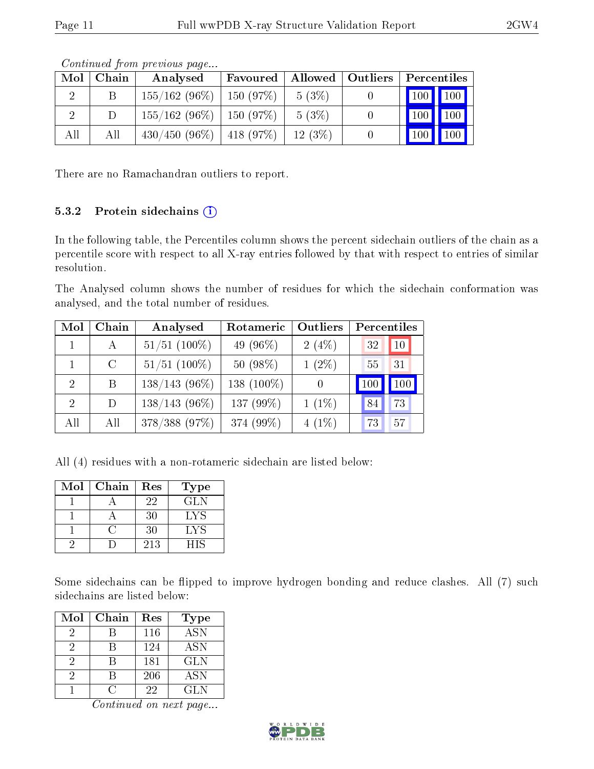|     | contentation provided waters |                               |                               |           |  |                              |             |
|-----|------------------------------|-------------------------------|-------------------------------|-----------|--|------------------------------|-------------|
| Mol | Chain                        | Analysed                      | Favoured   Allowed   Outliers |           |  | Percentiles                  |             |
|     |                              | $155/162$ (96\%)   150 (97\%) |                               | 5(3%)     |  | $\mid$ 100 $\mid$ 100 $\mid$ |             |
|     |                              | $155/162$ (96\%)   150 (97\%) |                               | 5(3%)     |  | 100                          | $\vert$ 100 |
| All | All                          | $430/450$ (96\%)   418 (97\%) |                               | $12(3\%)$ |  | 100                          | $\vert$ 100 |

Continued from previous page...

There are no Ramachandran outliers to report.

#### 5.3.2 Protein sidechains  $(i)$

In the following table, the Percentiles column shows the percent sidechain outliers of the chain as a percentile score with respect to all X-ray entries followed by that with respect to entries of similar resolution.

The Analysed column shows the number of residues for which the sidechain conformation was analysed, and the total number of residues.

| Mol                         | Chain | Analysed        | Rotameric     | Outliers | Percentiles |     |
|-----------------------------|-------|-----------------|---------------|----------|-------------|-----|
|                             |       | $51/51$ (100%)  | 49 $(96\%)$   | 2(4%)    | 32          | 10  |
|                             | C     | $51/51$ (100%)  | $50(98\%)$    | $1(2\%)$ | 55          | 31  |
| $\mathcal{D}_{\mathcal{L}}$ | B     | $138/143(96\%)$ | 138 $(100\%)$ |          | 100         | 100 |
| $\mathcal{D}_{\mathcal{L}}$ | D     | $138/143(96\%)$ | 137 (99%)     | $1(1\%)$ | 84          | 73  |
| All                         | All   | 378/388 (97%)   | 374 (99%)     | $4(1\%)$ | 73          | 57  |

All (4) residues with a non-rotameric sidechain are listed below:

| Mol | Chain | Res | Type       |
|-----|-------|-----|------------|
|     |       | 22  | GLN.       |
|     |       | 30  | LYS        |
|     |       | 30  | <b>LYS</b> |
|     |       | 213 | HIS        |

Some sidechains can be flipped to improve hydrogen bonding and reduce clashes. All (7) such sidechains are listed below:

| Mol | Chain | Res | Type       |
|-----|-------|-----|------------|
| 2   |       | 116 | <b>ASN</b> |
| 2   |       | 124 | ASN        |
| 2   |       | 181 | GLN        |
| 2   |       | 206 | <b>ASN</b> |
|     |       | 22  | GL N       |

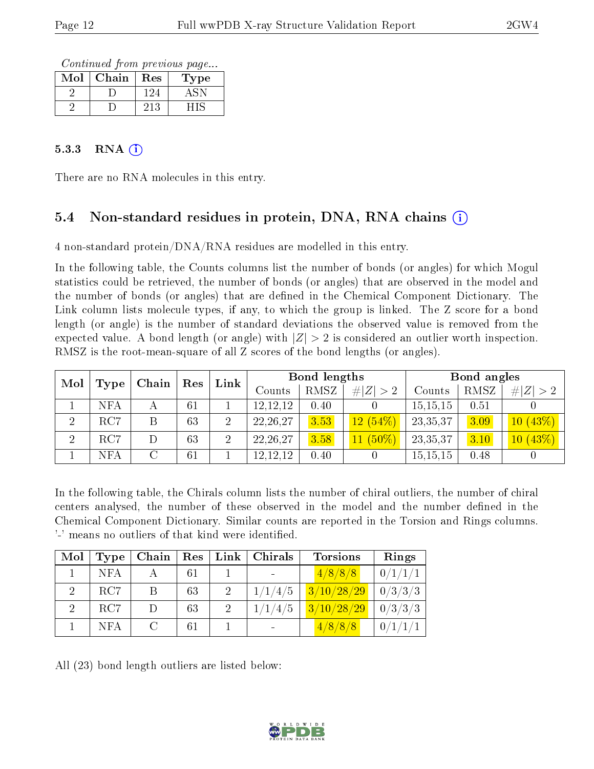Continued from previous page...

| Mol | Chain | Res | <b>Type</b> |
|-----|-------|-----|-------------|
|     |       | 24  |             |
|     |       | 213 |             |

#### $5.3.3$  RNA  $(i)$

There are no RNA molecules in this entry.

### 5.4 Non-standard residues in protein, DNA, RNA chains (i)

4 non-standard protein/DNA/RNA residues are modelled in this entry.

In the following table, the Counts columns list the number of bonds (or angles) for which Mogul statistics could be retrieved, the number of bonds (or angles) that are observed in the model and the number of bonds (or angles) that are dened in the Chemical Component Dictionary. The Link column lists molecule types, if any, to which the group is linked. The Z score for a bond length (or angle) is the number of standard deviations the observed value is removed from the expected value. A bond length (or angle) with  $|Z| > 2$  is considered an outlier worth inspection. RMSZ is the root-mean-square of all Z scores of the bond lengths (or angles).

| Mol            |            | Chain | Res | Link              | Bond lengths |             |            |          | Bond angles |         |  |
|----------------|------------|-------|-----|-------------------|--------------|-------------|------------|----------|-------------|---------|--|
|                | Type       |       |     | $\mathrm{Counts}$ | RMSZ         | # $ Z  > 2$ | Counts     | RMSZ     | # $ Z  > 2$ |         |  |
|                | NFA        |       | 61  |                   | 12, 12, 12   | 0.40        |            | 15,15,15 | 0.51        |         |  |
| $\Omega$       | RC7        | Β     | 63  | $\overline{2}$    | 22, 26, 27   | 3.53        | $12(54\%)$ | 23,35,37 | 3.09        | 10(43%) |  |
| $\overline{2}$ | RC7        |       | 63  | $\overline{2}$    | 22, 26, 27   | 3.58        | $11(50\%)$ | 23,35,37 | 3.10        | 10(43%) |  |
|                | <b>NFA</b> |       | 61  |                   | 12,12,12     | 0.40        |            | 15,15,15 | 0.48        |         |  |

In the following table, the Chirals column lists the number of chiral outliers, the number of chiral centers analysed, the number of these observed in the model and the number defined in the Chemical Component Dictionary. Similar counts are reported in the Torsion and Rings columns. '-' means no outliers of that kind were identified.

| Mol                         | Type       | Chain         | Res | Link                        | Chirals | <b>Torsions</b>     | Rings   |
|-----------------------------|------------|---------------|-----|-----------------------------|---------|---------------------|---------|
|                             | <b>NFA</b> |               | 61  |                             |         | 4/8/8/8             | 0/1/1/1 |
| 2                           | RC7        | В             | 63  | $\mathcal{D}$               | 1/1/4/5 | $\sqrt{3/10/28/29}$ | 0/3/3/3 |
| $\mathcal{D}_{\mathcal{L}}$ | RC7        |               | 63  | $\mathcal{D}_{\mathcal{A}}$ | 1/1/4/5 | 3/10/28/29          | 0/3/3/3 |
|                             | NFA        | $\mathcal{C}$ | 61  |                             |         | 4/8/8/8             |         |

All (23) bond length outliers are listed below:

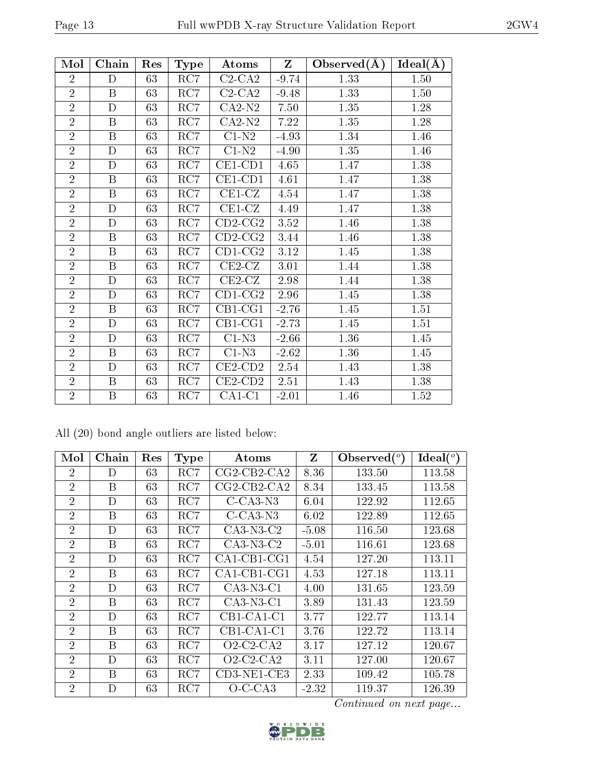| Mol            | Chain                   | Res | Type             | Atoms                 | $\mathbf{Z}$ | Observed $(A)$ | Ideal(A) |
|----------------|-------------------------|-----|------------------|-----------------------|--------------|----------------|----------|
| $\overline{2}$ | D                       | 63  | RC7              | $C2-CA2$              | $-9.74$      | 1.33           | 1.50     |
| $\overline{2}$ | $\overline{B}$          | 63  | $\overline{RC7}$ | $C2-CA2$              | $-9.48$      | 1.33           | $1.50\,$ |
| $\overline{2}$ | $\mathbf D$             | 63  | RC7              | $CA2-N2$              | 7.50         | 1.35           | 1.28     |
| $\overline{2}$ | $\boldsymbol{B}$        | 63  | RC7              | $CA2-N2$              | 7.22         | 1.35           | 1.28     |
| $\overline{2}$ | $\boldsymbol{B}$        | 63  | RC7              | $C1-N2$               | $-4.93$      | 1.34           | 1.46     |
| $\overline{2}$ | $\mathbf D$             | 63  | RC7              | $C1-N2$               | $-4.90$      | 1.35           | 1.46     |
| $\overline{2}$ | $\mathbf D$             | 63  | $\overline{RC7}$ | $CE1$ -CD1            | 4.65         | 1.47           | 1.38     |
| $\overline{2}$ | $\, {\bf B}$            | 63  | RC7              | $CE1$ -CD1            | 4.61         | 1.47           | 1.38     |
| $\overline{2}$ | $\, {\bf B}$            | 63  | RC7              | $CE1-CZ$              | 4.54         | 1.47           | 1.38     |
| $\overline{2}$ | $\mathbf D$             | 63  | RC7              | $CE1-CZ$              | 4.49         | 1.47           | 1.38     |
| $\overline{2}$ | $\mathbf D$             | 63  | RC7              | $\overline{CD}$ 2-CG2 | 3.52         | 1.46           | 1.38     |
| $\overline{2}$ | $\overline{B}$          | 63  | RC7              | $CD2-CG2$             | 3.44         | 1.46           | 1.38     |
| $\overline{2}$ | $\mathbf B$             | 63  | RC7              | $CD1-CG2$             | $3.12\,$     | 1.45           | 1.38     |
| $\overline{2}$ | $\overline{\mathbf{B}}$ | 63  | RC7              | $CE2-CZ$              | 3.01         | 1.44           | 1.38     |
| $\overline{2}$ | $\mathbf D$             | 63  | RC7              | $CE2-CZ$              | 2.98         | 1.44           | 1.38     |
| $\overline{2}$ | $\mathbf D$             | 63  | RC7              | $CD1-CG2$             | 2.96         | 1.45           | 1.38     |
| $\overline{2}$ | B                       | 63  | RC7              | $CB1-CG1$             | $-2.76$      | 1.45           | 1.51     |
| $\overline{2}$ | D                       | 63  | RC7              | $CB1-CG1$             | $-2.73$      | 1.45           | 1.51     |
| $\overline{2}$ | $\mathbf D$             | 63  | RC7              | $C1-N3$               | $-2.66$      | 1.36           | 1.45     |
| $\overline{2}$ | $\boldsymbol{B}$        | 63  | RC7              | $C1-N3$               | $-2.62$      | 1.36           | 1.45     |
| $\overline{2}$ | $\mathbf D$             | 63  | RC7              | $CE2$ -CD2            | 2.54         | 1.43           | 1.38     |
| $\overline{2}$ | $\boldsymbol{B}$        | 63  | RC7              | $CE2$ -CD2            | 2.51         | 1.43           | 1.38     |
| $\overline{2}$ | $\, {\bf B}$            | 63  | RC7              | $CA1-C1$              | $-2.01$      | 1.46           | 1.52     |

All (20) bond angle outliers are listed below:

| Mol            | Chain | Res | <b>Type</b>  | Atoms                                  | Z       | Observed $(°)$ | Ideal $(^\circ)$ |
|----------------|-------|-----|--------------|----------------------------------------|---------|----------------|------------------|
| $\overline{2}$ | D     | 63  | $_{\rm RC7}$ | $CG2$ - $CB2$ - $CA2$                  | 8.36    | 133.50         | 113.58           |
| $\overline{2}$ | В     | 63  | RC7          | $CG2$ -CB2-CA2                         | 8.34    | 133.45         | 113.58           |
| $\overline{2}$ | D     | 63  | RC7          | $C$ -CA3-N3                            | 6.04    | 122.92         | 112.65           |
| $\overline{2}$ | B     | 63  | RC7          | $C$ -CA3-N3                            | 6.02    | 122.89         | 112.65           |
| $\overline{2}$ | D     | 63  | RC7          | $CA3-N3-C2$                            | $-5.08$ | 116.50         | 123.68           |
| $\overline{2}$ | В     | 63  | RC7          | $CA3-N3-C2$                            | $-5.01$ | 116.61         | 123.68           |
| $\overline{2}$ | D     | 63  | RC7          | $CA1$ -CB1-CG1                         | 4.54    | 127.20         | 113.11           |
| $\overline{2}$ | B     | 63  | RC7          | $CA1$ -CB1-CG1                         | 4.53    | 127.18         | 113.11           |
| $\overline{2}$ | D     | 63  | RC7          | $CA3-N3-C1$                            | 4.00    | 131.65         | 123.59           |
| $\overline{2}$ | B     | 63  | RC7          | $CA3-N3-C1$                            | 3.89    | 131.43         | 123.59           |
| $\overline{2}$ | D     | 63  | RC7          | CB1-CA1-C1                             | 3.77    | 122.77         | 113.14           |
| $\overline{2}$ | B     | 63  | RC7          | $CB1$ -CA1-C1                          | 3.76    | 122.72         | 113.14           |
| $\overline{2}$ | В     | 63  | RC7          | $O2$ -C <sub>2</sub> -C <sub>A</sub> 2 | 3.17    | 127.12         | 120.67           |
| $\overline{2}$ | D     | 63  | RC7          | $O2$ -C <sub>2</sub> -C <sub>A</sub> 2 | 3.11    | 127.00         | 120.67           |
| $\overline{2}$ | Β     | 63  | RC7          | CD3-NE1-CE3                            | 2.33    | 109.42         | 105.78           |
| $\overline{2}$ | D     | 63  | RC7          | $O-C-CA3$                              | $-2.32$ | 119.37         | 126.39           |

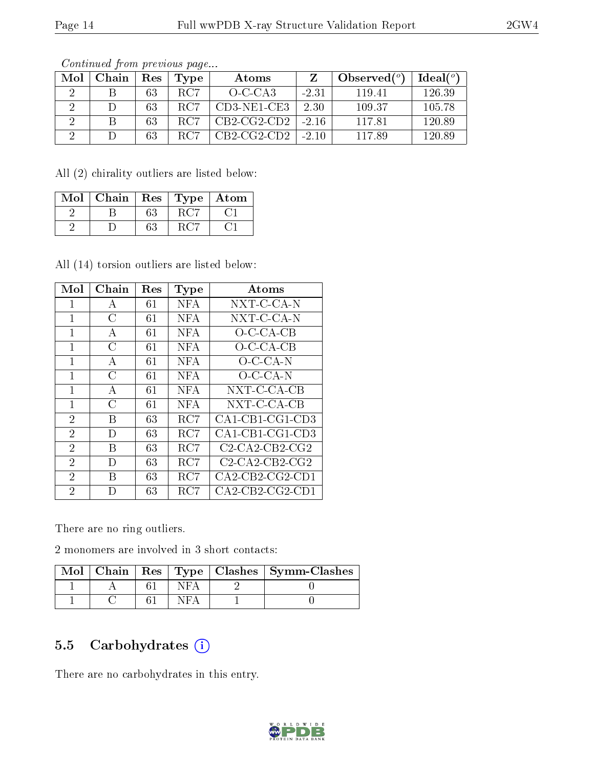| Mol | Chain | Res | Type | Atoms         |         | Observed $(°)$ | Ideal(°) |
|-----|-------|-----|------|---------------|---------|----------------|----------|
|     |       | 63  | RC7  | $O-C-CA3$     | $-2.31$ | 11941          | 126.39   |
|     |       | 63  | RC7  | $CD3-NE1-CE3$ | 2.30    | 109.37         | 105.78   |
|     |       | 63  | RC7  | $CB2-CG2-CD2$ | $-2.16$ | 117.81         | 120.89   |
|     |       | 63  | RC7  | $CB2-CG2-CD2$ | $-2.10$ | 11789          | 120.89   |

Continued from previous page...

All (2) chirality outliers are listed below:

| Mol | Chain | $\operatorname{Res}$ |     | Type   Atom |
|-----|-------|----------------------|-----|-------------|
|     |       | 63                   | RC5 |             |
|     |       | 63                   |     |             |

All (14) torsion outliers are listed below:

| Mol            | Chain | Res | <b>Type</b> | Atoms             |
|----------------|-------|-----|-------------|-------------------|
| 1              | А     | 61  | NFA         | NXT-C-CA-N        |
| 1              | C     | 61  | <b>NFA</b>  | NXT-C-CA-N        |
| 1              | А     | 61  | <b>NFA</b>  | O-C-CA-CB         |
| 1              | С     | 61  | <b>NFA</b>  | $O$ -C-CA-CB      |
| 1              | А     | 61  | <b>NFA</b>  | $O-C-CA-N$        |
| 1              | С     | 61  | <b>NFA</b>  | $O-C-CA-N$        |
| 1              | Α     | 61  | <b>NFA</b>  | NXT-C-CA-CB       |
| 1              | С     | 61  | <b>NFA</b>  | NXT-C-CA-CB       |
| $\overline{2}$ | В     | 63  | RC7         | $CA1-CB1-CG1-CD3$ |
| $\overline{2}$ | D     | 63  | RC7         | $CA1-CB1-CG1-CD3$ |
| $\overline{2}$ | В     | 63  | RC7         | $C2-CA2-CB2-CG2$  |
| $\overline{2}$ | D     | 63  | RC7         | $C2-CA2-CB2-CG2$  |
| $\overline{2}$ | В     | 63  | RC7         | $CA2-CB2-CG2-CD1$ |
| $\overline{2}$ | D     | 63  | RC7         | $CA2-CB2-CG2-CD1$ |

There are no ring outliers.

2 monomers are involved in 3 short contacts:

|  |  | Mol   Chain   Res   Type   Clashes   Symm-Clashes |
|--|--|---------------------------------------------------|
|  |  |                                                   |
|  |  |                                                   |

### 5.5 Carbohydrates  $(i)$

There are no carbohydrates in this entry.

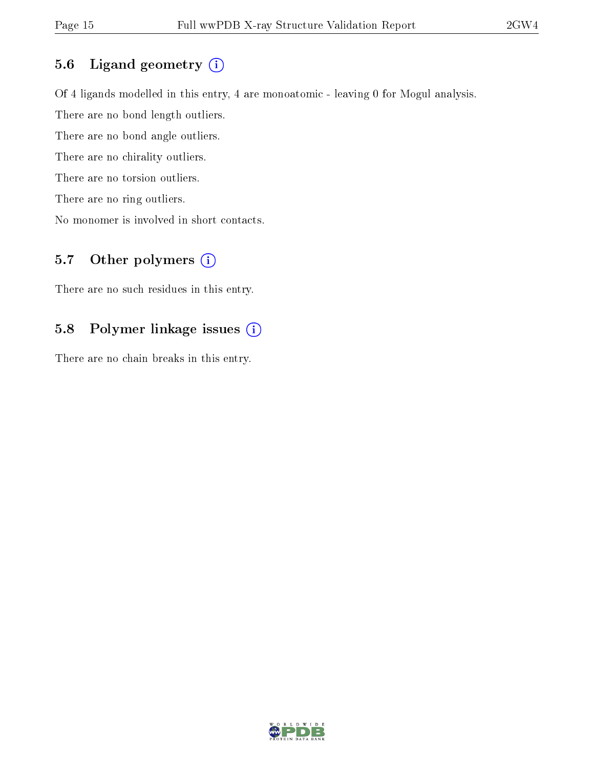### 5.6 Ligand geometry (i)

Of 4 ligands modelled in this entry, 4 are monoatomic - leaving 0 for Mogul analysis. There are no bond length outliers. There are no bond angle outliers. There are no chirality outliers. There are no torsion outliers. There are no ring outliers.

No monomer is involved in short contacts.

### 5.7 [O](https://www.wwpdb.org/validation/2017/XrayValidationReportHelp#nonstandard_residues_and_ligands)ther polymers  $(i)$

There are no such residues in this entry.

### 5.8 Polymer linkage issues (i)

There are no chain breaks in this entry.

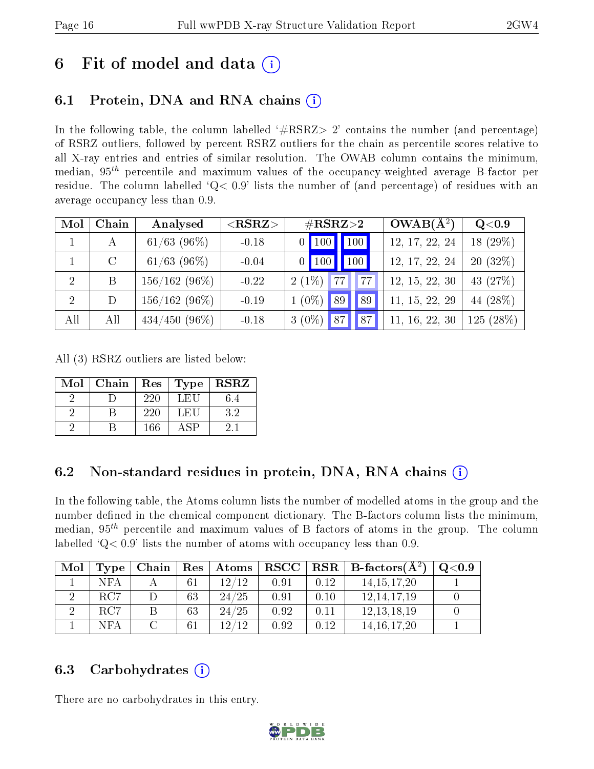# 6 Fit of model and data  $\left( \cdot \right)$

## 6.1 Protein, DNA and RNA chains (i)

In the following table, the column labelled  $#RSRZ> 2'$  contains the number (and percentage) of RSRZ outliers, followed by percent RSRZ outliers for the chain as percentile scores relative to all X-ray entries and entries of similar resolution. The OWAB column contains the minimum, median,  $95<sup>th</sup>$  percentile and maximum values of the occupancy-weighted average B-factor per residue. The column labelled  $Q< 0.9$  lists the number of (and percentage) of residues with an average occupancy less than 0.9.

| Mol            | Chain   | Analysed         | $<$ RSRZ $>$ | $\#\text{RSRZ}\text{>2}$ | $OWAB(A^2)$    | Q <sub>0.9</sub> |
|----------------|---------|------------------|--------------|--------------------------|----------------|------------------|
|                | А       | $61/63$ (96\%)   | $-0.18$      | 100<br>$\vert$ 100       | 12, 17, 22, 24 | 18 (29%)         |
|                | $\rm C$ | $61/63$ (96\%)   | $-0.04$      | 100<br>$\vert$ 100<br>0. | 12, 17, 22, 24 | $20(32\%)$       |
| 2              | B       | $156/162(96\%)$  | $-0.22$      | $2(1\%)$<br>77           | 12, 15, 22, 30 | 43 (27%)         |
| $\overline{2}$ | D       | $156/162(96\%)$  | $-0.19$      | $1(0\%)$<br>89<br>89     | 11, 15, 22, 29 | 44 (28%)         |
| All            | All     | $434/450$ (96\%) | $-0.18$      | $3(0\%)$<br>87<br>87     | 11, 16, 22, 30 | $125(28\%)$      |

All (3) RSRZ outliers are listed below:

| Mol | Chain |     |             | Res   Type   RSRZ |
|-----|-------|-----|-------------|-------------------|
|     |       | 220 | LEU         | 6.4               |
|     |       | 220 | LEU         | 32                |
|     |       | 166 | $\Delta$ SP |                   |

### 6.2 Non-standard residues in protein, DNA, RNA chains  $(i)$

In the following table, the Atoms column lists the number of modelled atoms in the group and the number defined in the chemical component dictionary. The B-factors column lists the minimum, median,  $95<sup>th</sup>$  percentile and maximum values of B factors of atoms in the group. The column labelled  $Q<sub>0.9</sub>$  lists the number of atoms with occupancy less than 0.9.

| Mol |     |               |    | Type   Chain   Res   Atoms |      |      | $\mid$ RSCC $\mid$ RSR $\mid$ B-factors( $A^2$ ) | Q <sub>0.9</sub> |
|-----|-----|---------------|----|----------------------------|------|------|--------------------------------------------------|------------------|
|     | NFA |               | 61 | 12/12                      | 0.91 | 0.12 | 14.15.17.20                                      |                  |
|     | RC7 |               | 63 | 24/25                      | 0.91 | 0.10 | 12, 14, 17, 19                                   |                  |
|     | RC7 |               | 63 | 24/25                      | 0.92 | 0.11 | 12, 13, 18, 19                                   |                  |
|     | NFA | $\mathcal{C}$ | 61 | 19/19                      | 0.92 | 0.12 | 14.16.17.20                                      |                  |

### 6.3 Carbohydrates (i)

There are no carbohydrates in this entry.